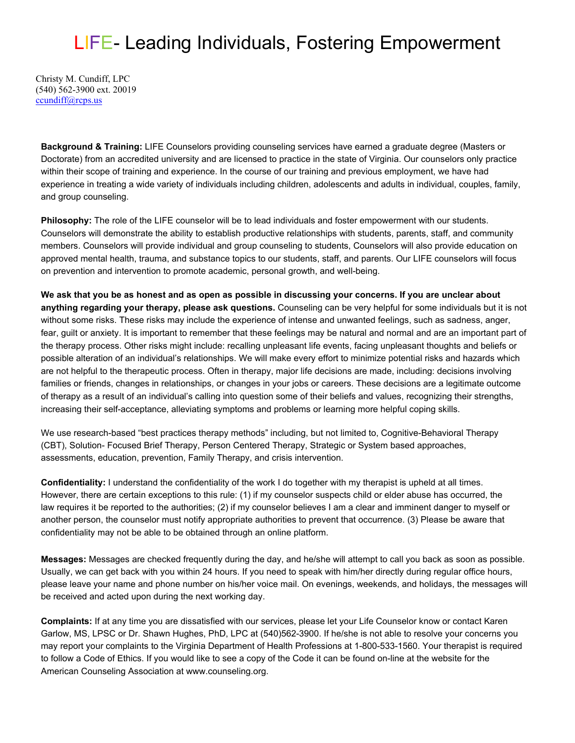## LIFE- Leading Individuals, Fostering Empowerment

Christy M. Cundiff, LPC (540) 562-3900 ext. 20019 [ccundiff@rcps.us](mailto:ccundiff@rcps.us)

**Background & Training:** LIFE Counselors providing counseling services have earned a graduate degree (Masters or Doctorate) from an accredited university and are licensed to practice in the state of Virginia. Our counselors only practice within their scope of training and experience. In the course of our training and previous employment, we have had experience in treating a wide variety of individuals including children, adolescents and adults in individual, couples, family, and group counseling.

**Philosophy:** The role of the LIFE counselor will be to lead individuals and foster empowerment with our students. Counselors will demonstrate the ability to establish productive relationships with students, parents, staff, and community members. Counselors will provide individual and group counseling to students, Counselors will also provide education on approved mental health, trauma, and substance topics to our students, staff, and parents. Our LIFE counselors will focus on prevention and intervention to promote academic, personal growth, and well-being.

**We ask that you be as honest and as open as possible in discussing your concerns. If you are unclear about anything regarding your therapy, please ask questions.** Counseling can be very helpful for some individuals but it is not without some risks. These risks may include the experience of intense and unwanted feelings, such as sadness, anger, fear, guilt or anxiety. It is important to remember that these feelings may be natural and normal and are an important part of the therapy process. Other risks might include: recalling unpleasant life events, facing unpleasant thoughts and beliefs or possible alteration of an individual's relationships. We will make every effort to minimize potential risks and hazards which are not helpful to the therapeutic process. Often in therapy, major life decisions are made, including: decisions involving families or friends, changes in relationships, or changes in your jobs or careers. These decisions are a legitimate outcome of therapy as a result of an individual's calling into question some of their beliefs and values, recognizing their strengths, increasing their self-acceptance, alleviating symptoms and problems or learning more helpful coping skills.

We use research-based "best practices therapy methods" including, but not limited to, Cognitive-Behavioral Therapy (CBT), Solution- Focused Brief Therapy, Person Centered Therapy, Strategic or System based approaches, assessments, education, prevention, Family Therapy, and crisis intervention.

**Confidentiality:** I understand the confidentiality of the work I do together with my therapist is upheld at all times. However, there are certain exceptions to this rule: (1) if my counselor suspects child or elder abuse has occurred, the law requires it be reported to the authorities; (2) if my counselor believes I am a clear and imminent danger to myself or another person, the counselor must notify appropriate authorities to prevent that occurrence. (3) Please be aware that confidentiality may not be able to be obtained through an online platform.

**Messages:** Messages are checked frequently during the day, and he/she will attempt to call you back as soon as possible. Usually, we can get back with you within 24 hours. If you need to speak with him/her directly during regular office hours, please leave your name and phone number on his/her voice mail. On evenings, weekends, and holidays, the messages will be received and acted upon during the next working day.

**Complaints:** If at any time you are dissatisfied with our services, please let your Life Counselor know or contact Karen Garlow, MS, LPSC or Dr. Shawn Hughes, PhD, LPC at (540)562-3900. If he/she is not able to resolve your concerns you may report your complaints to the Virginia Department of Health Professions at 1-800-533-1560. Your therapist is required to follow a Code of Ethics. If you would like to see a copy of the Code it can be found on-line at the website for the American Counseling Association at [www.counseling.org.](http://www.counseling.org/)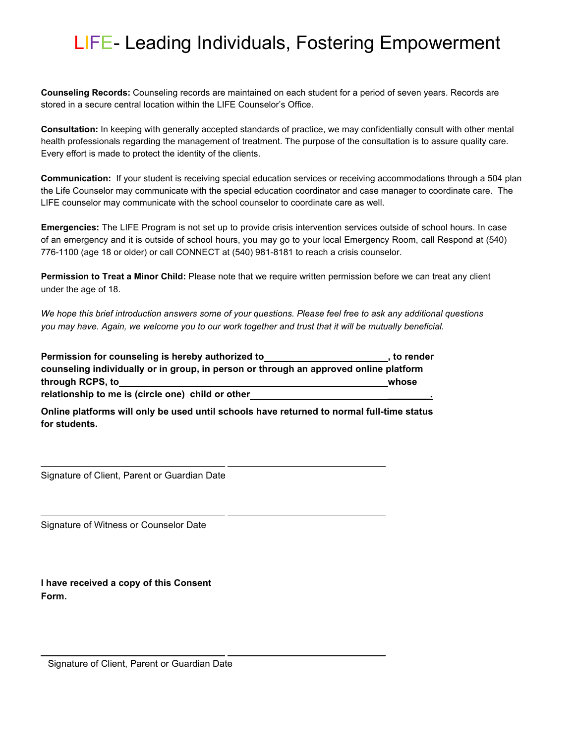## LIFE- Leading Individuals, Fostering Empowerment

**Counseling Records:** Counseling records are maintained on each student for a period of seven years. Records are stored in a secure central location within the LIFE Counselor's Office.

**Consultation:** In keeping with generally accepted standards of practice, we may confidentially consult with other mental health professionals regarding the management of treatment. The purpose of the consultation is to assure quality care. Every effort is made to protect the identity of the clients.

**Communication:** If your student is receiving special education services or receiving accommodations through a 504 plan the Life Counselor may communicate with the special education coordinator and case manager to coordinate care. The LIFE counselor may communicate with the school counselor to coordinate care as well.

**Emergencies:** The LIFE Program is not set up to provide crisis intervention services outside of school hours. In case of an emergency and it is outside of school hours, you may go to your local Emergency Room, call Respond at (540) 776-1100 (age 18 or older) or call CONNECT at (540) 981-8181 to reach a crisis counselor.

**Permission to Treat a Minor Child:** Please note that we require written permission before we can treat any client under the age of 18.

*We hope this brief introduction answers some of your questions. Please feel free to ask any additional questions you may have. Again, we welcome you to our work together and trust that it will be mutually beneficial.*

**Permission for counseling is hereby authorized to , to render counseling individually or in group, in person or through an approved online platform through RCPS, to whose relationship to me is (circle one) child or other \_\_\_\_\_\_\_\_\_.**

**Online platforms will only be used until schools have returned to normal full-time status for students.**

Signature of Client, Parent or Guardian Date

Signature of Witness or Counselor Date

**I have received a copy of this Consent Form.**

Signature of Client, Parent or Guardian Date